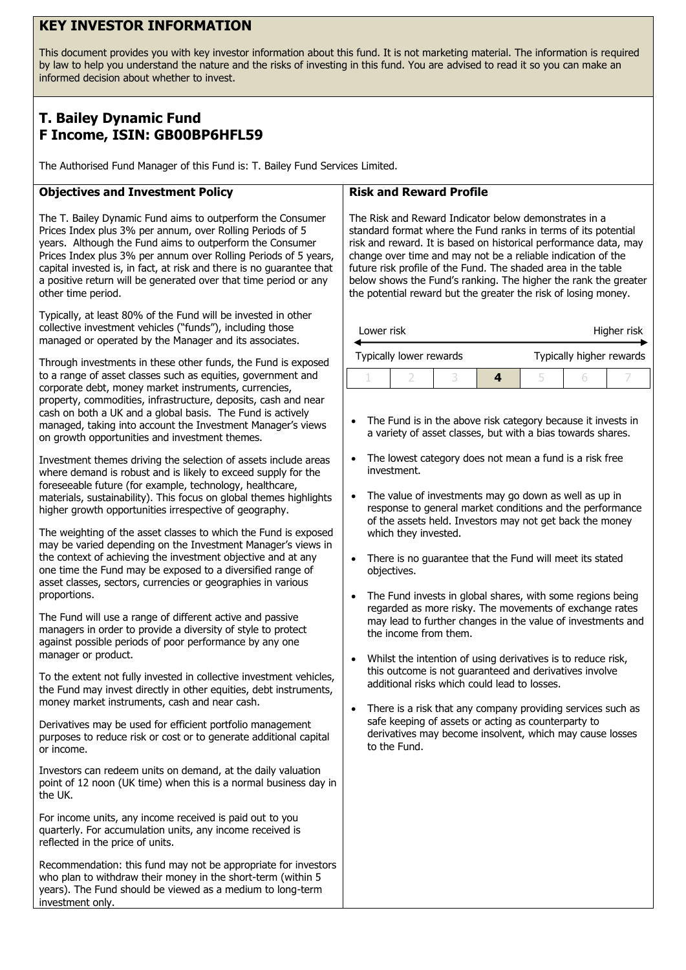# **KEY INVESTOR INFORMATION**

This document provides you with key investor information about this fund. It is not marketing material. The information is required by law to help you understand the nature and the risks of investing in this fund. You are advised to read it so you can make an informed decision about whether to invest.

# **T. Bailey Dynamic Fund F Income, ISIN: GB00BP6HFL59**

The Authorised Fund Manager of this Fund is: T. Bailey Fund Services Limited.

## **Objectives and Investment Policy**

The T. Bailey Dynamic Fund aims to outperform the Consumer Prices Index plus 3% per annum, over Rolling Periods of 5 years. Although the Fund aims to outperform the Consumer Prices Index plus 3% per annum over Rolling Periods of 5 years, capital invested is, in fact, at risk and there is no guarantee that a positive return will be generated over that time period or any other time period.

Typically, at least 80% of the Fund will be invested in other collective investment vehicles ("funds"), including those managed or operated by the Manager and its associates.

Through investments in these other funds, the Fund is exposed to a range of asset classes such as equities, government and corporate debt, money market instruments, currencies, property, commodities, infrastructure, deposits, cash and near cash on both a UK and a global basis. The Fund is actively managed, taking into account the Investment Manager's views on growth opportunities and investment themes.

Investment themes driving the selection of assets include areas where demand is robust and is likely to exceed supply for the foreseeable future (for example, technology, healthcare, materials, sustainability). This focus on global themes highlights higher growth opportunities irrespective of geography.

The weighting of the asset classes to which the Fund is exposed may be varied depending on the Investment Manager's views in the context of achieving the investment objective and at any one time the Fund may be exposed to a diversified range of asset classes, sectors, currencies or geographies in various proportions.

The Fund will use a range of different active and passive managers in order to provide a diversity of style to protect against possible periods of poor performance by any one manager or product.

To the extent not fully invested in collective investment vehicles, the Fund may invest directly in other equities, debt instruments, money market instruments, cash and near cash.

Derivatives may be used for efficient portfolio management purposes to reduce risk or cost or to generate additional capital or income.

Investors can redeem units on demand, at the daily valuation point of 12 noon (UK time) when this is a normal business day in the UK.

For income units, any income received is paid out to you quarterly. For accumulation units, any income received is reflected in the price of units.

Recommendation: this fund may not be appropriate for investors who plan to withdraw their money in the short-term (within 5 years). The Fund should be viewed as a medium to long-term investment only.

#### **Risk and Reward Profile**

The Risk and Reward Indicator below demonstrates in a standard format where the Fund ranks in terms of its potential risk and reward. It is based on historical performance data, may change over time and may not be a reliable indication of the future risk profile of the Fund. The shaded area in the table below shows the Fund's ranking. The higher the rank the greater the potential reward but the greater the risk of losing money.

| Lower risk |                         |  | Higher risk              |  |  |  |
|------------|-------------------------|--|--------------------------|--|--|--|
|            | Typically lower rewards |  | Typically higher rewards |  |  |  |
|            |                         |  |                          |  |  |  |

- The Fund is in the above risk category because it invests in a variety of asset classes, but with a bias towards shares.
- The lowest category does not mean a fund is a risk free investment.
- The value of investments may go down as well as up in response to general market conditions and the performance of the assets held. Investors may not get back the money which they invested.
- There is no guarantee that the Fund will meet its stated objectives.
- The Fund invests in global shares, with some regions being regarded as more risky. The movements of exchange rates may lead to further changes in the value of investments and the income from them.
- Whilst the intention of using derivatives is to reduce risk, this outcome is not guaranteed and derivatives involve additional risks which could lead to losses.
- There is a risk that any company providing services such as safe keeping of assets or acting as counterparty to derivatives may become insolvent, which may cause losses to the Fund.